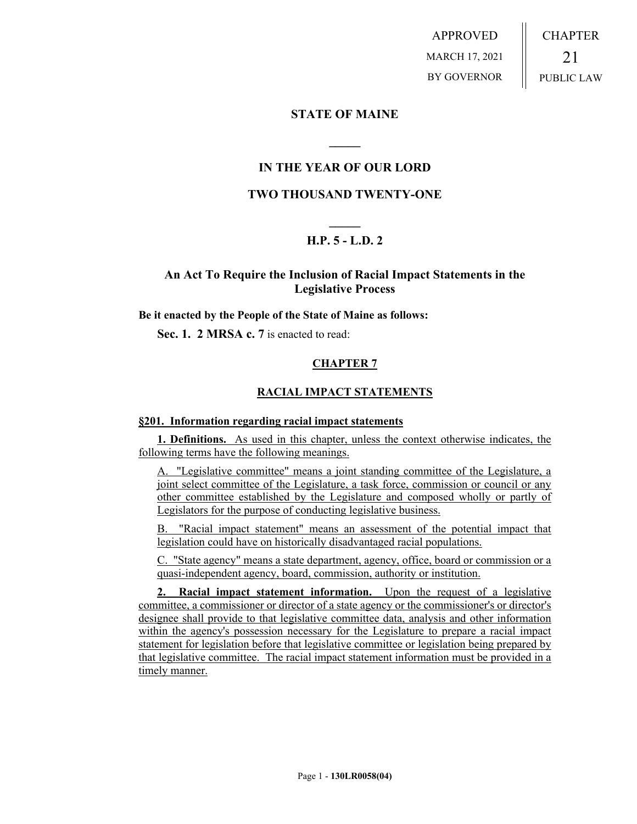APPROVED MARCH 17, 2021 BY GOVERNOR CHAPTER 21 PUBLIC LAW

## **STATE OF MAINE**

# **IN THE YEAR OF OUR LORD**

**\_\_\_\_\_**

### **TWO THOUSAND TWENTY-ONE**

# **\_\_\_\_\_ H.P. 5 - L.D. 2**

## **An Act To Require the Inclusion of Racial Impact Statements in the Legislative Process**

**Be it enacted by the People of the State of Maine as follows:**

**Sec. 1. 2 MRSA c. 7** is enacted to read:

#### **CHAPTER 7**

#### **RACIAL IMPACT STATEMENTS**

#### **§201. Information regarding racial impact statements**

**1. Definitions.** As used in this chapter, unless the context otherwise indicates, the following terms have the following meanings.

A. "Legislative committee" means a joint standing committee of the Legislature, a joint select committee of the Legislature, a task force, commission or council or any other committee established by the Legislature and composed wholly or partly of Legislators for the purpose of conducting legislative business.

B. "Racial impact statement" means an assessment of the potential impact that legislation could have on historically disadvantaged racial populations.

C. "State agency" means a state department, agency, office, board or commission or a quasi-independent agency, board, commission, authority or institution.

**2. Racial impact statement information.** Upon the request of a legislative committee, a commissioner or director of a state agency or the commissioner's or director's designee shall provide to that legislative committee data, analysis and other information within the agency's possession necessary for the Legislature to prepare a racial impact statement for legislation before that legislative committee or legislation being prepared by that legislative committee. The racial impact statement information must be provided in a timely manner.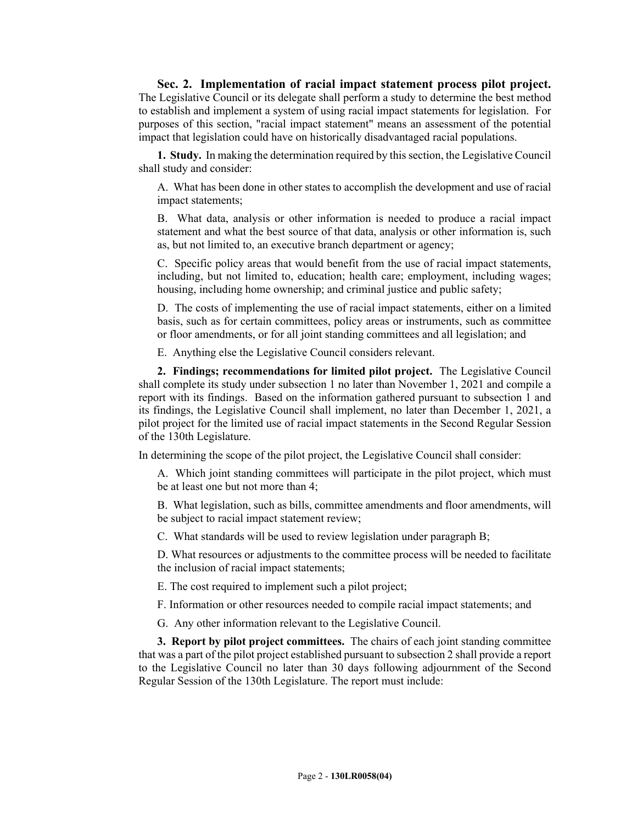**Sec. 2. Implementation of racial impact statement process pilot project.** The Legislative Council or its delegate shall perform a study to determine the best method to establish and implement a system of using racial impact statements for legislation. For purposes of this section, "racial impact statement" means an assessment of the potential impact that legislation could have on historically disadvantaged racial populations.

**1. Study.** In making the determination required by this section, the Legislative Council shall study and consider:

A. What has been done in other states to accomplish the development and use of racial impact statements;

B. What data, analysis or other information is needed to produce a racial impact statement and what the best source of that data, analysis or other information is, such as, but not limited to, an executive branch department or agency;

C. Specific policy areas that would benefit from the use of racial impact statements, including, but not limited to, education; health care; employment, including wages; housing, including home ownership; and criminal justice and public safety;

D. The costs of implementing the use of racial impact statements, either on a limited basis, such as for certain committees, policy areas or instruments, such as committee or floor amendments, or for all joint standing committees and all legislation; and

E. Anything else the Legislative Council considers relevant.

**2. Findings; recommendations for limited pilot project.** The Legislative Council shall complete its study under subsection 1 no later than November 1, 2021 and compile a report with its findings. Based on the information gathered pursuant to subsection 1 and its findings, the Legislative Council shall implement, no later than December 1, 2021, a pilot project for the limited use of racial impact statements in the Second Regular Session of the 130th Legislature.

In determining the scope of the pilot project, the Legislative Council shall consider:

A. Which joint standing committees will participate in the pilot project, which must be at least one but not more than 4;

B. What legislation, such as bills, committee amendments and floor amendments, will be subject to racial impact statement review;

C. What standards will be used to review legislation under paragraph B;

D. What resources or adjustments to the committee process will be needed to facilitate the inclusion of racial impact statements;

E. The cost required to implement such a pilot project;

F. Information or other resources needed to compile racial impact statements; and

G. Any other information relevant to the Legislative Council.

**3. Report by pilot project committees.** The chairs of each joint standing committee that was a part of the pilot project established pursuant to subsection 2 shall provide a report to the Legislative Council no later than 30 days following adjournment of the Second Regular Session of the 130th Legislature. The report must include: